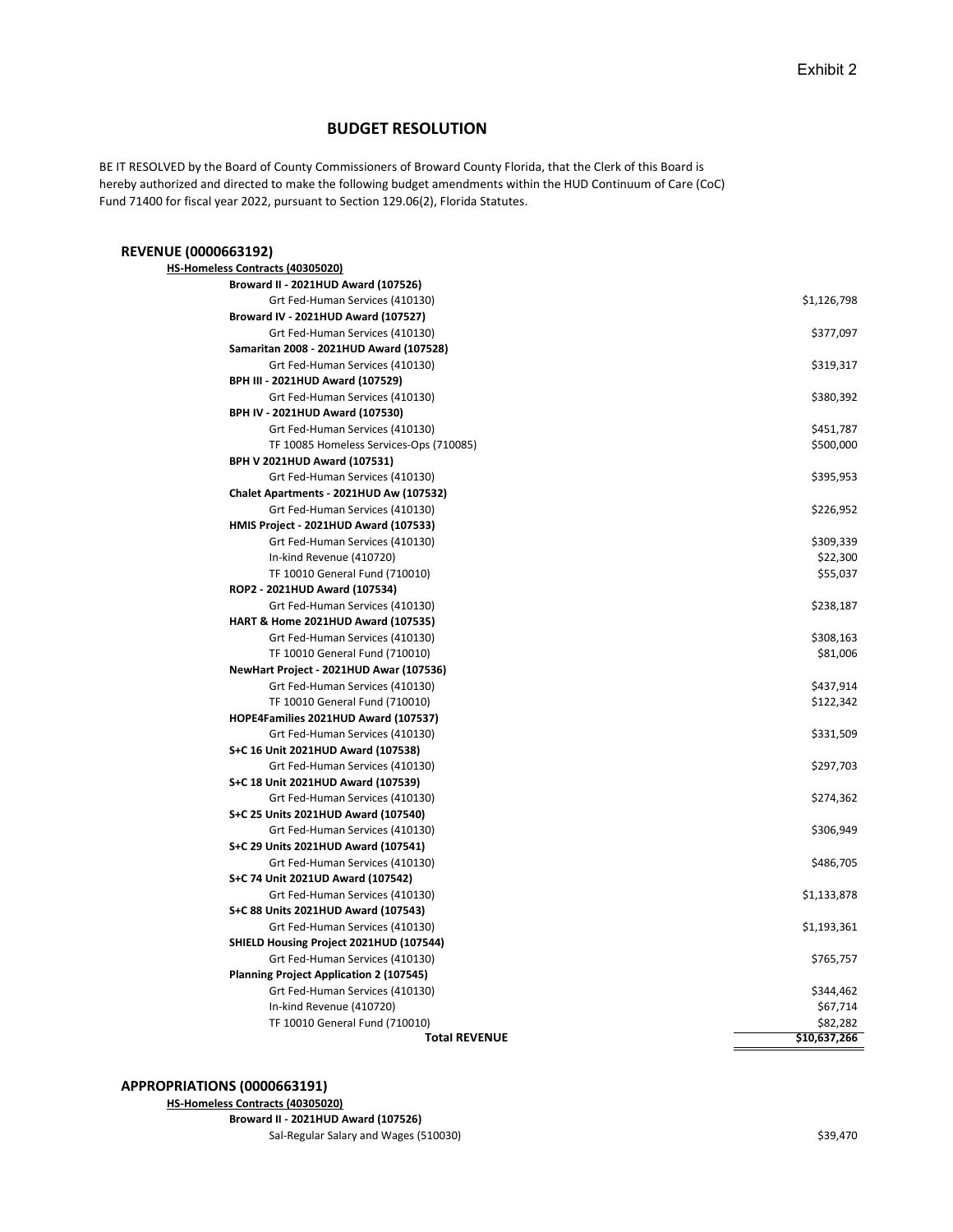## BUDGET RESOLUTION

 BE IT RESOLVED by the Board of County Commissioners of Broward County Florida, that the Clerk of this Board is hereby authorized and directed to make the following budget amendments within the HUD Continuum of Care (CoC) Fund 71400 for fiscal year 2022, pursuant to Section 129.06(2), Florida Statutes.

## REVENUE (0000663192)

| HS-Homeless Contracts (40305020)               |              |
|------------------------------------------------|--------------|
| Broward II - 2021HUD Award (107526)            |              |
| Grt Fed-Human Services (410130)                | \$1,126,798  |
| Broward IV - 2021HUD Award (107527)            |              |
| Grt Fed-Human Services (410130)                | \$377,097    |
| Samaritan 2008 - 2021HUD Award (107528)        |              |
| Grt Fed-Human Services (410130)                | \$319,317    |
| BPH III - 2021HUD Award (107529)               |              |
| Grt Fed-Human Services (410130)                | \$380,392    |
| BPH IV - 2021HUD Award (107530)                |              |
| Grt Fed-Human Services (410130)                | \$451,787    |
| TF 10085 Homeless Services-Ops (710085)        | \$500,000    |
| BPH V 2021HUD Award (107531)                   |              |
| Grt Fed-Human Services (410130)                | \$395,953    |
| Chalet Apartments - 2021HUD Aw (107532)        |              |
| Grt Fed-Human Services (410130)                | \$226,952    |
| HMIS Project - 2021HUD Award (107533)          |              |
| Grt Fed-Human Services (410130)                | \$309,339    |
| In-kind Revenue (410720)                       | \$22,300     |
| TF 10010 General Fund (710010)                 | \$55,037     |
| ROP2 - 2021HUD Award (107534)                  |              |
| Grt Fed-Human Services (410130)                | \$238,187    |
| HART & Home 2021HUD Award (107535)             |              |
| Grt Fed-Human Services (410130)                | \$308,163    |
| TF 10010 General Fund (710010)                 | \$81,006     |
| NewHart Project - 2021HUD Awar (107536)        |              |
| Grt Fed-Human Services (410130)                | \$437,914    |
| TF 10010 General Fund (710010)                 | \$122,342    |
| HOPE4Families 2021HUD Award (107537)           |              |
| Grt Fed-Human Services (410130)                | \$331,509    |
| S+C 16 Unit 2021HUD Award (107538)             |              |
| Grt Fed-Human Services (410130)                | \$297,703    |
| S+C 18 Unit 2021HUD Award (107539)             |              |
| Grt Fed-Human Services (410130)                | \$274,362    |
| S+C 25 Units 2021HUD Award (107540)            |              |
| Grt Fed-Human Services (410130)                | \$306,949    |
| S+C 29 Units 2021HUD Award (107541)            |              |
| Grt Fed-Human Services (410130)                | \$486,705    |
| S+C 74 Unit 2021UD Award (107542)              |              |
| Grt Fed-Human Services (410130)                | \$1,133,878  |
| S+C 88 Units 2021HUD Award (107543)            |              |
| Grt Fed-Human Services (410130)                | \$1,193,361  |
| SHIELD Housing Project 2021HUD (107544)        |              |
| Grt Fed-Human Services (410130)                | \$765,757    |
| <b>Planning Project Application 2 (107545)</b> |              |
| Grt Fed-Human Services (410130)                | \$344,462    |
| In-kind Revenue (410720)                       | \$67,714     |
| TF 10010 General Fund (710010)                 | \$82,282     |
| <b>Total REVENUE</b>                           | \$10,637,266 |

## APPROPRIATIONS (0000663191)

 HS-Homeless Contracts (40305020) Broward II - 2021HUD Award (107526)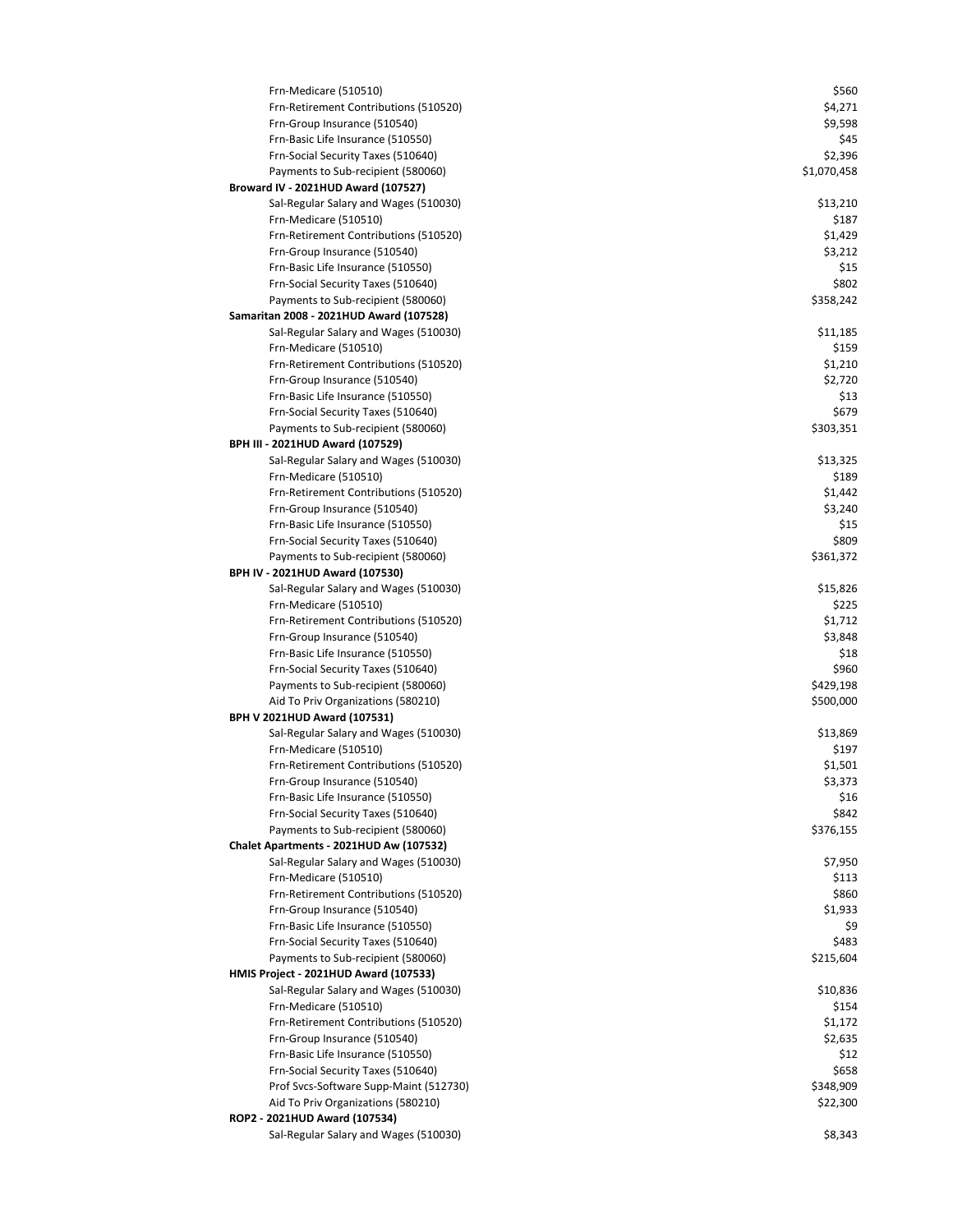| Frn-Medicare (510510)                                                 | \$560              |
|-----------------------------------------------------------------------|--------------------|
| Frn-Retirement Contributions (510520)                                 | \$4,271            |
| Frn-Group Insurance (510540)                                          | \$9,598            |
| Frn-Basic Life Insurance (510550)                                     | \$45               |
| Frn-Social Security Taxes (510640)                                    | \$2,396            |
| Payments to Sub-recipient (580060)                                    | \$1,070,458        |
| Broward IV - 2021HUD Award (107527)                                   |                    |
| Sal-Regular Salary and Wages (510030)                                 | \$13,210           |
| Frn-Medicare (510510)                                                 | \$187              |
| Frn-Retirement Contributions (510520)                                 | \$1,429            |
| Frn-Group Insurance (510540)                                          | \$3,212            |
| Frn-Basic Life Insurance (510550)                                     | \$15               |
| Frn-Social Security Taxes (510640)                                    | \$802              |
| Payments to Sub-recipient (580060)                                    | \$358,242          |
| Samaritan 2008 - 2021HUD Award (107528)                               |                    |
| Sal-Regular Salary and Wages (510030)                                 | \$11,185           |
| Frn-Medicare (510510)                                                 | \$159              |
| Frn-Retirement Contributions (510520)<br>Frn-Group Insurance (510540) | \$1,210<br>\$2,720 |
| Frn-Basic Life Insurance (510550)                                     | \$13               |
| Frn-Social Security Taxes (510640)                                    | \$679              |
| Payments to Sub-recipient (580060)                                    | \$303,351          |
| <b>BPH III - 2021HUD Award (107529)</b>                               |                    |
| Sal-Regular Salary and Wages (510030)                                 | \$13,325           |
| Frn-Medicare (510510)                                                 | \$189              |
| Frn-Retirement Contributions (510520)                                 | \$1,442            |
| Frn-Group Insurance (510540)                                          | \$3,240            |
| Frn-Basic Life Insurance (510550)                                     | \$15               |
| Frn-Social Security Taxes (510640)                                    | \$809              |
| Payments to Sub-recipient (580060)                                    | \$361,372          |
| BPH IV - 2021HUD Award (107530)                                       |                    |
| Sal-Regular Salary and Wages (510030)                                 | \$15,826           |
| Frn-Medicare (510510)                                                 | \$225              |
| Frn-Retirement Contributions (510520)                                 | \$1,712            |
| Frn-Group Insurance (510540)                                          | \$3,848            |
| Frn-Basic Life Insurance (510550)                                     | \$18               |
| Frn-Social Security Taxes (510640)                                    | \$960              |
| Payments to Sub-recipient (580060)                                    | \$429,198          |
| Aid To Priv Organizations (580210)                                    | \$500,000          |
| BPH V 2021HUD Award (107531)                                          |                    |
| Sal-Regular Salary and Wages (510030)                                 | \$13,869           |
| Frn-Medicare (510510)                                                 | \$197              |
| Frn-Retirement Contributions (510520)                                 | \$1,501            |
| Frn-Group Insurance (510540)<br>Frn-Basic Life Insurance (510550)     | \$3,373<br>\$16    |
| Frn-Social Security Taxes (510640)                                    | \$842              |
| Payments to Sub-recipient (580060)                                    | \$376,155          |
| Chalet Apartments - 2021HUD Aw (107532)                               |                    |
| Sal-Regular Salary and Wages (510030)                                 | \$7,950            |
| Frn-Medicare (510510)                                                 | \$113              |
| Frn-Retirement Contributions (510520)                                 | \$860              |
| Frn-Group Insurance (510540)                                          | \$1,933            |
| Frn-Basic Life Insurance (510550)                                     | \$9                |
| Frn-Social Security Taxes (510640)                                    | \$483              |
| Payments to Sub-recipient (580060)                                    | \$215,604          |
| HMIS Project - 2021HUD Award (107533)                                 |                    |
| Sal-Regular Salary and Wages (510030)                                 | \$10,836           |
| Frn-Medicare (510510)                                                 | \$154              |
| Frn-Retirement Contributions (510520)                                 | \$1,172            |
| Frn-Group Insurance (510540)                                          | \$2,635            |
| Frn-Basic Life Insurance (510550)                                     | \$12               |
| Frn-Social Security Taxes (510640)                                    | \$658              |
| Prof Svcs-Software Supp-Maint (512730)                                | \$348,909          |
| Aid To Priv Organizations (580210)                                    | \$22,300           |
| ROP2 - 2021HUD Award (107534)                                         |                    |
| Sal-Regular Salary and Wages (510030)                                 | \$8,343            |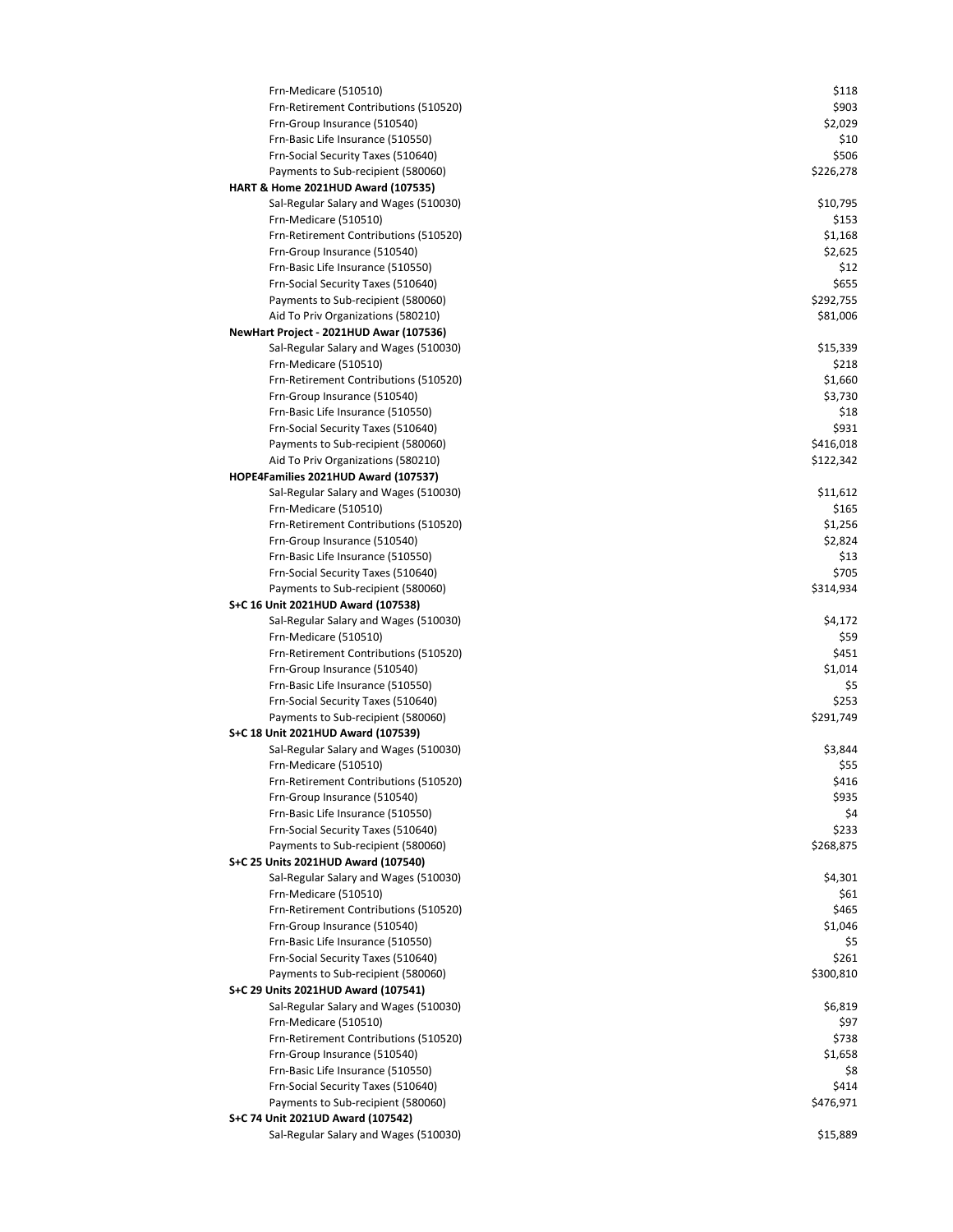| Frn-Medicare (510510)                   | \$118     |
|-----------------------------------------|-----------|
| Frn-Retirement Contributions (510520)   | \$903     |
| Frn-Group Insurance (510540)            | \$2,029   |
| Frn-Basic Life Insurance (510550)       | \$10      |
| Frn-Social Security Taxes (510640)      | \$506     |
| Payments to Sub-recipient (580060)      | \$226,278 |
| HART & Home 2021HUD Award (107535)      |           |
| Sal-Regular Salary and Wages (510030)   | \$10,795  |
| Frn-Medicare (510510)                   | \$153     |
| Frn-Retirement Contributions (510520)   | \$1,168   |
| Frn-Group Insurance (510540)            | \$2,625   |
| Frn-Basic Life Insurance (510550)       | \$12      |
| Frn-Social Security Taxes (510640)      | \$655     |
| Payments to Sub-recipient (580060)      | \$292,755 |
| Aid To Priv Organizations (580210)      | \$81,006  |
| NewHart Project - 2021HUD Awar (107536) |           |
| Sal-Regular Salary and Wages (510030)   | \$15,339  |
| Frn-Medicare (510510)                   | \$218     |
| Frn-Retirement Contributions (510520)   | \$1,660   |
| Frn-Group Insurance (510540)            | \$3,730   |
| Frn-Basic Life Insurance (510550)       | \$18      |
| Frn-Social Security Taxes (510640)      | \$931     |
| Payments to Sub-recipient (580060)      | \$416,018 |
|                                         |           |
| Aid To Priv Organizations (580210)      | \$122,342 |
| HOPE4Families 2021HUD Award (107537)    |           |
| Sal-Regular Salary and Wages (510030)   | \$11,612  |
| Frn-Medicare (510510)                   | \$165     |
| Frn-Retirement Contributions (510520)   | \$1,256   |
| Frn-Group Insurance (510540)            | \$2,824   |
| Frn-Basic Life Insurance (510550)       | \$13      |
| Frn-Social Security Taxes (510640)      | \$705     |
| Payments to Sub-recipient (580060)      | \$314,934 |
| S+C 16 Unit 2021HUD Award (107538)      |           |
| Sal-Regular Salary and Wages (510030)   | \$4,172   |
| Frn-Medicare (510510)                   | \$59      |
| Frn-Retirement Contributions (510520)   | \$451     |
| Frn-Group Insurance (510540)            | \$1,014   |
| Frn-Basic Life Insurance (510550)       | \$5       |
| Frn-Social Security Taxes (510640)      | \$253     |
| Payments to Sub-recipient (580060)      | \$291,749 |
| S+C 18 Unit 2021HUD Award (107539)      |           |
| Sal-Regular Salary and Wages (510030)   | \$3,844   |
| Frn-Medicare (510510)                   | \$55      |
| Frn-Retirement Contributions (510520)   | \$416     |
| Frn-Group Insurance (510540)            | \$935     |
| Frn-Basic Life Insurance (510550)       | \$4       |
| Frn-Social Security Taxes (510640)      | \$233     |
| Payments to Sub-recipient (580060)      | \$268,875 |
| S+C 25 Units 2021HUD Award (107540)     |           |
| Sal-Regular Salary and Wages (510030)   | \$4,301   |
| Frn-Medicare (510510)                   | \$61      |
| Frn-Retirement Contributions (510520)   | \$465     |
| Frn-Group Insurance (510540)            | \$1,046   |
| Frn-Basic Life Insurance (510550)       | \$5       |
| Frn-Social Security Taxes (510640)      | \$261     |
| Payments to Sub-recipient (580060)      | \$300,810 |
| S+C 29 Units 2021HUD Award (107541)     |           |
| Sal-Regular Salary and Wages (510030)   | \$6,819   |
| Frn-Medicare (510510)                   | \$97      |
| Frn-Retirement Contributions (510520)   | \$738     |
| Frn-Group Insurance (510540)            | \$1,658   |
| Frn-Basic Life Insurance (510550)       | \$8       |
| Frn-Social Security Taxes (510640)      | \$414     |
| Payments to Sub-recipient (580060)      | \$476,971 |
| S+C 74 Unit 2021UD Award (107542)       |           |
| Sal-Regular Salary and Wages (510030)   | \$15,889  |
|                                         |           |